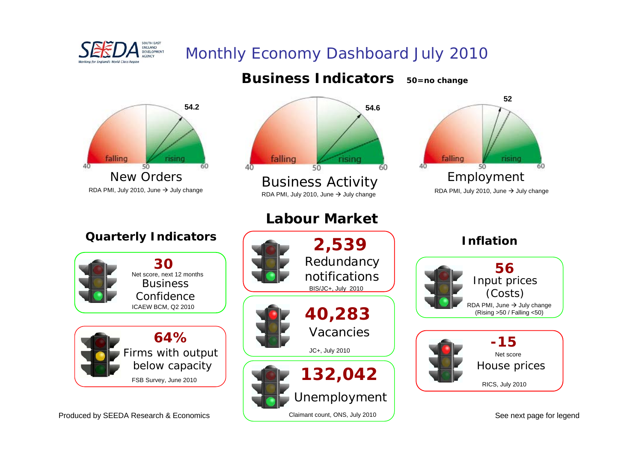

## Monthly Economy Dashboard July 2010

Claimant count, ONS, July 2010



Produced by SEEDA Research & Economics

See next page for legend

60